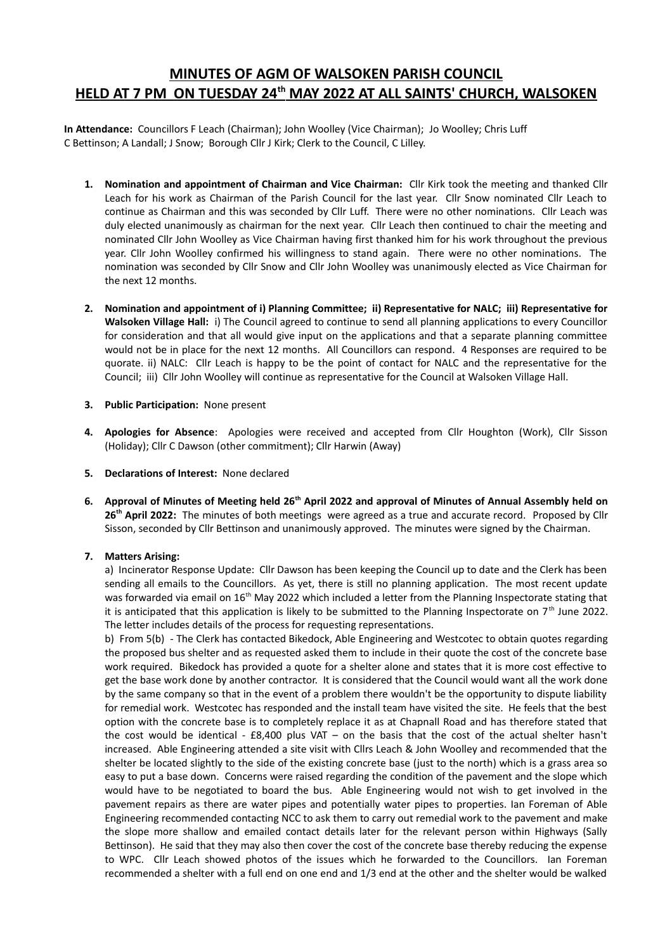# **MINUTES OF AGM OF WALSOKEN PARISH COUNCIL HELD AT 7 PM ON TUESDAY 24th MAY 2022 AT ALL SAINTS' CHURCH, WALSOKEN**

**In Attendance:** Councillors F Leach (Chairman); John Woolley (Vice Chairman); Jo Woolley; Chris Luff C Bettinson; A Landall; J Snow; Borough Cllr J Kirk; Clerk to the Council, C Lilley.

- **1. Nomination and appointment of Chairman and Vice Chairman:** Cllr Kirk took the meeting and thanked Cllr Leach for his work as Chairman of the Parish Council for the last year. Cllr Snow nominated Cllr Leach to continue as Chairman and this was seconded by Cllr Luff. There were no other nominations. Cllr Leach was duly elected unanimously as chairman for the next year. Cllr Leach then continued to chair the meeting and nominated Cllr John Woolley as Vice Chairman having first thanked him for his work throughout the previous year. Cllr John Woolley confirmed his willingness to stand again. There were no other nominations. The nomination was seconded by Cllr Snow and Cllr John Woolley was unanimously elected as Vice Chairman for the next 12 months.
- **2. Nomination and appointment of i) Planning Committee; ii) Representative for NALC; iii) Representative for Walsoken Village Hall:** i) The Council agreed to continue to send all planning applications to every Councillor for consideration and that all would give input on the applications and that a separate planning committee would not be in place for the next 12 months. All Councillors can respond. 4 Responses are required to be quorate. ii) NALC: Cllr Leach is happy to be the point of contact for NALC and the representative for the Council; iii) Cllr John Woolley will continue as representative for the Council at Walsoken Village Hall.
- **3. Public Participation:** None present
- **4. Apologies for Absence**: Apologies were received and accepted from Cllr Houghton (Work), Cllr Sisson (Holiday); Cllr C Dawson (other commitment); Cllr Harwin (Away)
- **5. Declarations of Interest:** None declared
- **6. Approval of Minutes of Meeting held 26th April 2022 and approval of Minutes of Annual Assembly held on 26th April 2022:** The minutes of both meetings were agreed as a true and accurate record. Proposed by Cllr Sisson, seconded by Cllr Bettinson and unanimously approved. The minutes were signed by the Chairman.

## **7. Matters Arising:**

a) Incinerator Response Update: Cllr Dawson has been keeping the Council up to date and the Clerk has been sending all emails to the Councillors. As yet, there is still no planning application. The most recent update was forwarded via email on 16<sup>th</sup> May 2022 which included a letter from the Planning Inspectorate stating that it is anticipated that this application is likely to be submitted to the Planning Inspectorate on  $7<sup>th</sup>$  June 2022. The letter includes details of the process for requesting representations.

b) From 5(b) - The Clerk has contacted Bikedock, Able Engineering and Westcotec to obtain quotes regarding the proposed bus shelter and as requested asked them to include in their quote the cost of the concrete base work required. Bikedock has provided a quote for a shelter alone and states that it is more cost effective to get the base work done by another contractor. It is considered that the Council would want all the work done by the same company so that in the event of a problem there wouldn't be the opportunity to dispute liability for remedial work. Westcotec has responded and the install team have visited the site. He feels that the best option with the concrete base is to completely replace it as at Chapnall Road and has therefore stated that the cost would be identical - £8,400 plus VAT – on the basis that the cost of the actual shelter hasn't increased. Able Engineering attended a site visit with Cllrs Leach & John Woolley and recommended that the shelter be located slightly to the side of the existing concrete base (just to the north) which is a grass area so easy to put a base down. Concerns were raised regarding the condition of the pavement and the slope which would have to be negotiated to board the bus. Able Engineering would not wish to get involved in the pavement repairs as there are water pipes and potentially water pipes to properties. Ian Foreman of Able Engineering recommended contacting NCC to ask them to carry out remedial work to the pavement and make the slope more shallow and emailed contact details later for the relevant person within Highways (Sally Bettinson). He said that they may also then cover the cost of the concrete base thereby reducing the expense to WPC. Cllr Leach showed photos of the issues which he forwarded to the Councillors. Ian Foreman recommended a shelter with a full end on one end and 1/3 end at the other and the shelter would be walked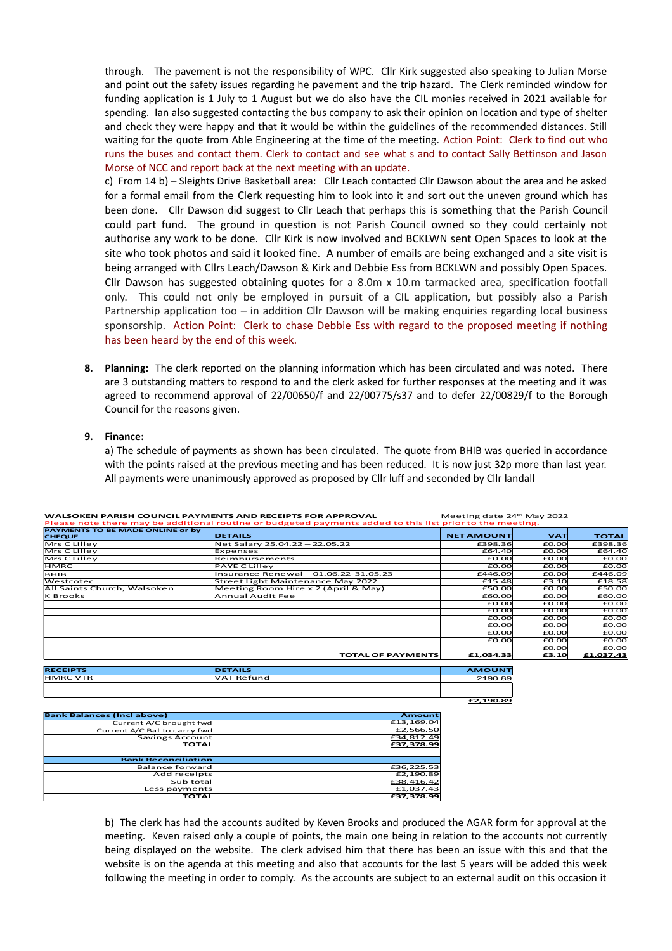through. The pavement is not the responsibility of WPC. Cllr Kirk suggested also speaking to Julian Morse and point out the safety issues regarding he pavement and the trip hazard. The Clerk reminded window for funding application is 1 July to 1 August but we do also have the CIL monies received in 2021 available for spending. Ian also suggested contacting the bus company to ask their opinion on location and type of shelter and check they were happy and that it would be within the guidelines of the recommended distances. Still waiting for the quote from Able Engineering at the time of the meeting. Action Point: Clerk to find out who runs the buses and contact them. Clerk to contact and see what s and to contact Sally Bettinson and Jason Morse of NCC and report back at the next meeting with an update.

c) From 14 b) – Sleights Drive Basketball area: Cllr Leach contacted Cllr Dawson about the area and he asked for a formal email from the Clerk requesting him to look into it and sort out the uneven ground which has been done. Cllr Dawson did suggest to Cllr Leach that perhaps this is something that the Parish Council could part fund. The ground in question is not Parish Council owned so they could certainly not authorise any work to be done. Cllr Kirk is now involved and BCKLWN sent Open Spaces to look at the site who took photos and said it looked fine. A number of emails are being exchanged and a site visit is being arranged with Cllrs Leach/Dawson & Kirk and Debbie Ess from BCKLWN and possibly Open Spaces. Cllr Dawson has suggested obtaining quotes for a 8.0m x 10.m tarmacked area, specification footfall only. This could not only be employed in pursuit of a CIL application, but possibly also a Parish Partnership application too – in addition Cllr Dawson will be making enquiries regarding local business sponsorship. Action Point: Clerk to chase Debbie Ess with regard to the proposed meeting if nothing has been heard by the end of this week.

**8. Planning:** The clerk reported on the planning information which has been circulated and was noted. There are 3 outstanding matters to respond to and the clerk asked for further responses at the meeting and it was agreed to recommend approval of 22/00650/f and 22/00775/s37 and to defer 22/00829/f to the Borough Council for the reasons given.

#### **9. Finance:**

a) The schedule of payments as shown has been circulated. The quote from BHIB was queried in accordance with the points raised at the previous meeting and has been reduced. It is now just 32p more than last year. All payments were unanimously approved as proposed by Cllr luff and seconded by Cllr landall

| WALSOKEN PARISH COUNCIL PAYMENTS AND RECEIPTS FOR APPROVAL |                                                                                                           | Meeting date 24 May 2022 |            |              |
|------------------------------------------------------------|-----------------------------------------------------------------------------------------------------------|--------------------------|------------|--------------|
|                                                            | Please note there may be additional routine or budgeted payments added to this list prior to the meeting. |                          |            |              |
| <b>PAYMENTS TO BE MADE ONLINE or by</b><br><b>CHEQUE</b>   | <b>DETAILS</b>                                                                                            | <b>NET AMOUNT</b>        | <b>VAT</b> | <b>TOTAL</b> |
| Mrs C Lilley                                               | Net Salary 25.04.22 - 22.05.22                                                                            | £398.36                  | £0.00      | £398.36      |
| Mrs C Lilley                                               | Expenses                                                                                                  | £64.40                   | E0.00      | £64.40       |
| Mrs C Lilley                                               | Reimbursements                                                                                            | £0.00                    | E0.00      | EQ, QQ       |
| <b>HMRC</b>                                                | PAYE C Lilley                                                                                             | £0.00                    | E0.00      | EQ, QQ       |
| <b>BHIB</b>                                                | Insurance Renewal - 01.06.22-31.05.23                                                                     | £446.09                  | E0.00      | £446.09      |
| Westcotec                                                  | Street Light Maintenance May 2022                                                                         | £15.48                   | £3.10      | £18.58       |
| All Saints Church, Walsoken                                | Meeting Room Hire x 2 (April & May)                                                                       | £50.00                   | E0.00      | £50.00       |
| K Brooks                                                   | <b>Annual Audit Fee</b>                                                                                   | £60.00                   | E0.00      | £60.00       |
|                                                            |                                                                                                           | £0.00                    | E0.00      | E0.00        |
|                                                            |                                                                                                           | £0.00                    | E0.00      | EQ, QQ       |
|                                                            |                                                                                                           | £0.00                    | E0.00      | EQ, QQ       |
|                                                            |                                                                                                           | £0.00                    | E0.00      | E0.00        |
|                                                            |                                                                                                           | £0.00                    | E0.00      | E0.00        |
|                                                            |                                                                                                           | £0.00                    | E0.00      | E0.00        |
|                                                            |                                                                                                           |                          | £0.00      | EQ, QQ       |
|                                                            | <b>TOTAL OF PAYMENTS</b>                                                                                  | £1.034.33                | £3.10      | £1,037.43    |

| WALSOKEN PARISH COUNCIL PAYMENTS AND RECEIPTS FOR APPROVAL | Meeting date 24th May 2022 |
|------------------------------------------------------------|----------------------------|
|                                                            |                            |

| <b>RECEIPTS</b> | <b>DETAILS</b> | <b>AMOUNT</b> |  |  |  |
|-----------------|----------------|---------------|--|--|--|
| <b>HMRC VTR</b> | VAT Refund     | 2190.89       |  |  |  |
|                 |                |               |  |  |  |
|                 |                |               |  |  |  |

**£2,190.89**

| <b>Bank Balances (Incl above)</b> | <b>Amount</b> |
|-----------------------------------|---------------|
| Current A/C brought fwd           | £13,169.04    |
| Current A/C Bal to carry fwd      | £2,566.50     |
| Savings Account                   | £34.812.49    |
| <b>TOTAL</b>                      | £37,378.99    |
|                                   |               |
| <b>Bank Reconciliation</b>        |               |
| Balance forward                   | £36,225.53    |
| Add receipts                      | £2,190.89     |
| Sub total                         | £38,416.42    |
| Less payments                     | £1,037.43     |
| <b>TOTAL</b>                      | £37.378.99    |

b) The clerk has had the accounts audited by Keven Brooks and produced the AGAR form for approval at the meeting. Keven raised only a couple of points, the main one being in relation to the accounts not currently being displayed on the website. The clerk advised him that there has been an issue with this and that the website is on the agenda at this meeting and also that accounts for the last 5 years will be added this week following the meeting in order to comply. As the accounts are subject to an external audit on this occasion it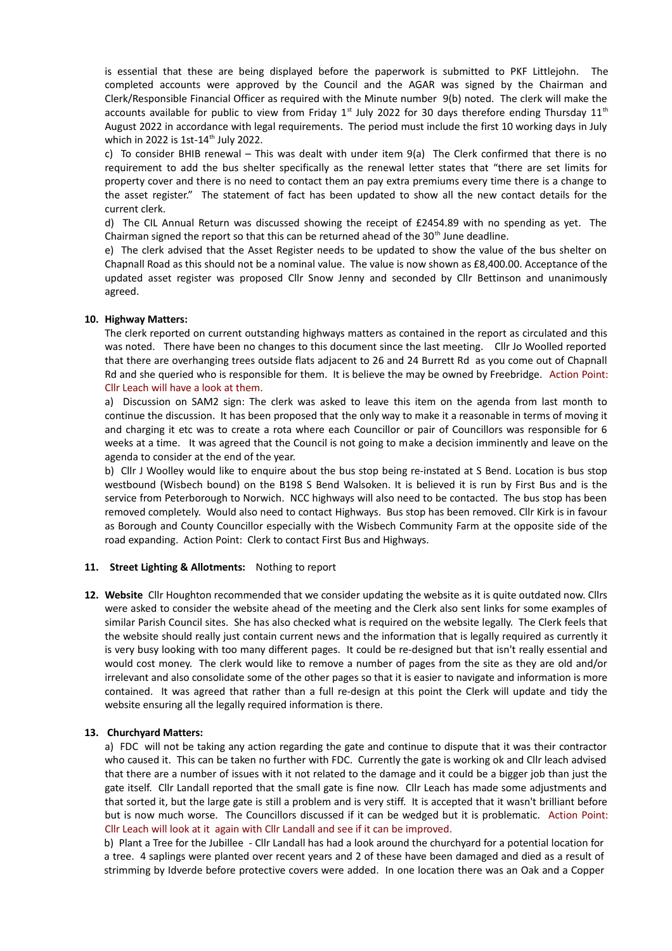is essential that these are being displayed before the paperwork is submitted to PKF Littlejohn. The completed accounts were approved by the Council and the AGAR was signed by the Chairman and Clerk/Responsible Financial Officer as required with the Minute number 9(b) noted. The clerk will make the accounts available for public to view from Friday  $1^{st}$  July 2022 for 30 days therefore ending Thursday  $11^{th}$ August 2022 in accordance with legal requirements. The period must include the first 10 working days in July which in 2022 is 1st-14<sup>th</sup> July 2022.

c) To consider BHIB renewal – This was dealt with under item 9(a) The Clerk confirmed that there is no requirement to add the bus shelter specifically as the renewal letter states that "there are set limits for property cover and there is no need to contact them an pay extra premiums every time there is a change to the asset register." The statement of fact has been updated to show all the new contact details for the current clerk.

d) The CIL Annual Return was discussed showing the receipt of £2454.89 with no spending as yet. The Chairman signed the report so that this can be returned ahead of the  $30<sup>th</sup>$  June deadline.

e) The clerk advised that the Asset Register needs to be updated to show the value of the bus shelter on Chapnall Road as this should not be a nominal value. The value is now shown as £8,400.00. Acceptance of the updated asset register was proposed Cllr Snow Jenny and seconded by Cllr Bettinson and unanimously agreed.

### **10. Highway Matters:**

The clerk reported on current outstanding highways matters as contained in the report as circulated and this was noted. There have been no changes to this document since the last meeting. Cllr Jo Woolled reported that there are overhanging trees outside flats adjacent to 26 and 24 Burrett Rd as you come out of Chapnall Rd and she queried who is responsible for them. It is believe the may be owned by Freebridge. Action Point: Cllr Leach will have a look at them.

a) Discussion on SAM2 sign: The clerk was asked to leave this item on the agenda from last month to continue the discussion. It has been proposed that the only way to make it a reasonable in terms of moving it and charging it etc was to create a rota where each Councillor or pair of Councillors was responsible for 6 weeks at a time. It was agreed that the Council is not going to make a decision imminently and leave on the agenda to consider at the end of the year.

b) Cllr J Woolley would like to enquire about the bus stop being re-instated at S Bend. Location is bus stop westbound (Wisbech bound) on the B198 S Bend Walsoken. It is believed it is run by First Bus and is the service from Peterborough to Norwich. NCC highways will also need to be contacted. The bus stop has been removed completely. Would also need to contact Highways. Bus stop has been removed. Cllr Kirk is in favour as Borough and County Councillor especially with the Wisbech Community Farm at the opposite side of the road expanding. Action Point: Clerk to contact First Bus and Highways.

#### **11. Street Lighting & Allotments:** Nothing to report

**12. Website** Cllr Houghton recommended that we consider updating the website as it is quite outdated now. Cllrs were asked to consider the website ahead of the meeting and the Clerk also sent links for some examples of similar Parish Council sites. She has also checked what is required on the website legally. The Clerk feels that the website should really just contain current news and the information that is legally required as currently it is very busy looking with too many different pages. It could be re-designed but that isn't really essential and would cost money. The clerk would like to remove a number of pages from the site as they are old and/or irrelevant and also consolidate some of the other pages so that it is easier to navigate and information is more contained. It was agreed that rather than a full re-design at this point the Clerk will update and tidy the website ensuring all the legally required information is there.

#### **13. Churchyard Matters:**

a) FDC will not be taking any action regarding the gate and continue to dispute that it was their contractor who caused it. This can be taken no further with FDC. Currently the gate is working ok and Cllr leach advised that there are a number of issues with it not related to the damage and it could be a bigger job than just the gate itself. Cllr Landall reported that the small gate is fine now. Cllr Leach has made some adjustments and that sorted it, but the large gate is still a problem and is very stiff. It is accepted that it wasn't brilliant before but is now much worse. The Councillors discussed if it can be wedged but it is problematic. Action Point: Cllr Leach will look at it again with Cllr Landall and see if it can be improved.

b) Plant a Tree for the Jubillee - Cllr Landall has had a look around the churchyard for a potential location for a tree. 4 saplings were planted over recent years and 2 of these have been damaged and died as a result of strimming by Idverde before protective covers were added. In one location there was an Oak and a Copper